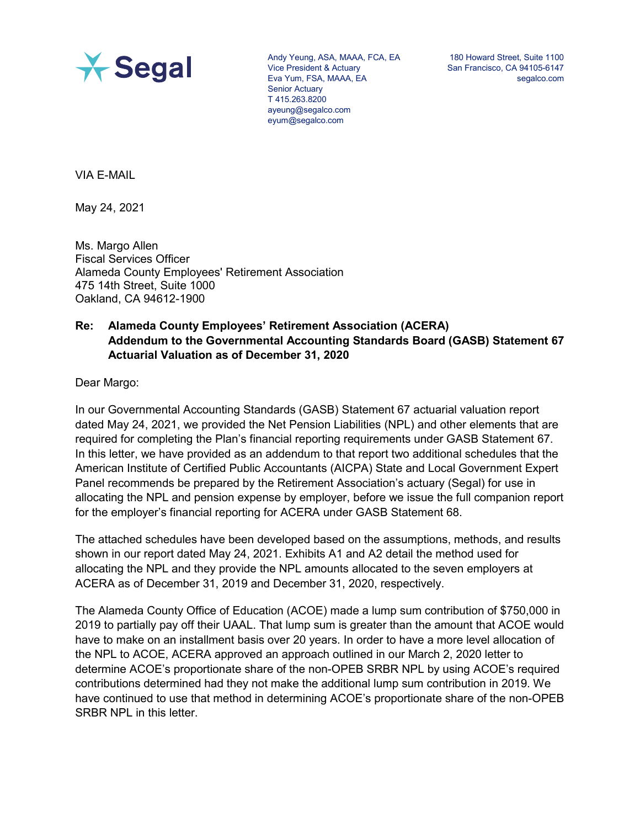

Andy Yeung, ASA, MAAA, FCA, EA Vice President & Actuary Eva Yum, FSA, MAAA, EA Senior Actuary T 415.263.8200 ayeung@segalco.com eyum@segalco.com

180 Howard Street, Suite 1100 San Francisco, CA 94105-6147 segalco.com

VIA E-MAIL

May 24, 2021

Ms. Margo Allen Fiscal Services Officer Alameda County Employees' Retirement Association 475 14th Street, Suite 1000 Oakland, CA 94612-1900

# **Re: Alameda County Employees' Retirement Association (ACERA) Addendum to the Governmental Accounting Standards Board (GASB) Statement 67 Actuarial Valuation as of December 31, 2020**

Dear Margo:

In our Governmental Accounting Standards (GASB) Statement 67 actuarial valuation report dated May 24, 2021, we provided the Net Pension Liabilities (NPL) and other elements that are required for completing the Plan's financial reporting requirements under GASB Statement 67. In this letter, we have provided as an addendum to that report two additional schedules that the American Institute of Certified Public Accountants (AICPA) State and Local Government Expert Panel recommends be prepared by the Retirement Association's actuary (Segal) for use in allocating the NPL and pension expense by employer, before we issue the full companion report for the employer's financial reporting for ACERA under GASB Statement 68.

The attached schedules have been developed based on the assumptions, methods, and results shown in our report dated May 24, 2021. Exhibits A1 and A2 detail the method used for allocating the NPL and they provide the NPL amounts allocated to the seven employers at ACERA as of December 31, 2019 and December 31, 2020, respectively.

The Alameda County Office of Education (ACOE) made a lump sum contribution of \$750,000 in 2019 to partially pay off their UAAL. That lump sum is greater than the amount that ACOE would have to make on an installment basis over 20 years. In order to have a more level allocation of the NPL to ACOE, ACERA approved an approach outlined in our March 2, 2020 letter to determine ACOE's proportionate share of the non-OPEB SRBR NPL by using ACOE's required contributions determined had they not make the additional lump sum contribution in 2019. We have continued to use that method in determining ACOE's proportionate share of the non-OPEB SRBR NPL in this letter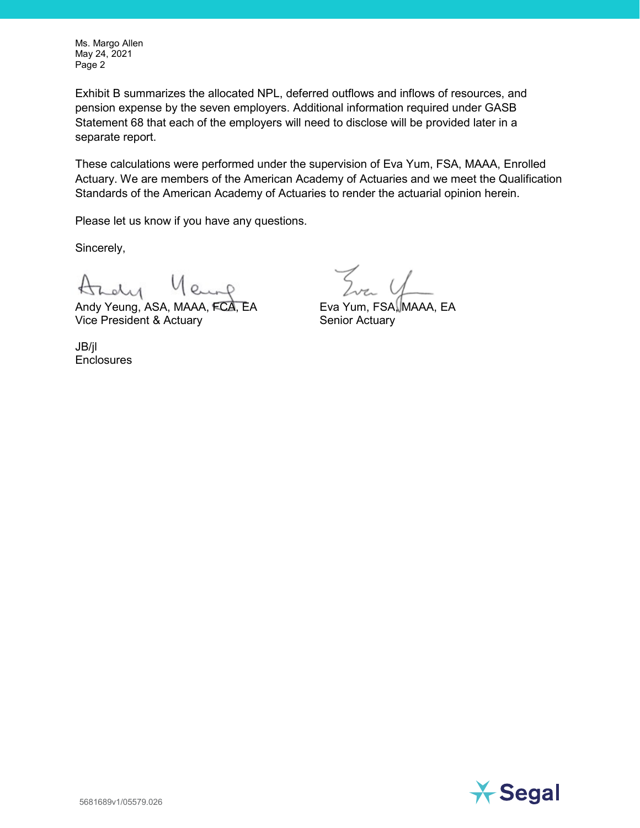Ms. Margo Allen May 24, 2021 Page 2

Exhibit B summarizes the allocated NPL, deferred outflows and inflows of resources, and pension expense by the seven employers. Additional information required under GASB Statement 68 that each of the employers will need to disclose will be provided later in a separate report.

These calculations were performed under the supervision of Eva Yum, FSA, MAAA, Enrolled Actuary. We are members of the American Academy of Actuaries and we meet the Qualification Standards of the American Academy of Actuaries to render the actuarial opinion herein.

Please let us know if you have any questions.

Sincerely,

Andy Yeung, ASA, MAAA, FCA, EA Vice President & Actuary

JB/jl **Enclosures** 

Eva Yum, FSA, MAAA, EA Senior Actuary

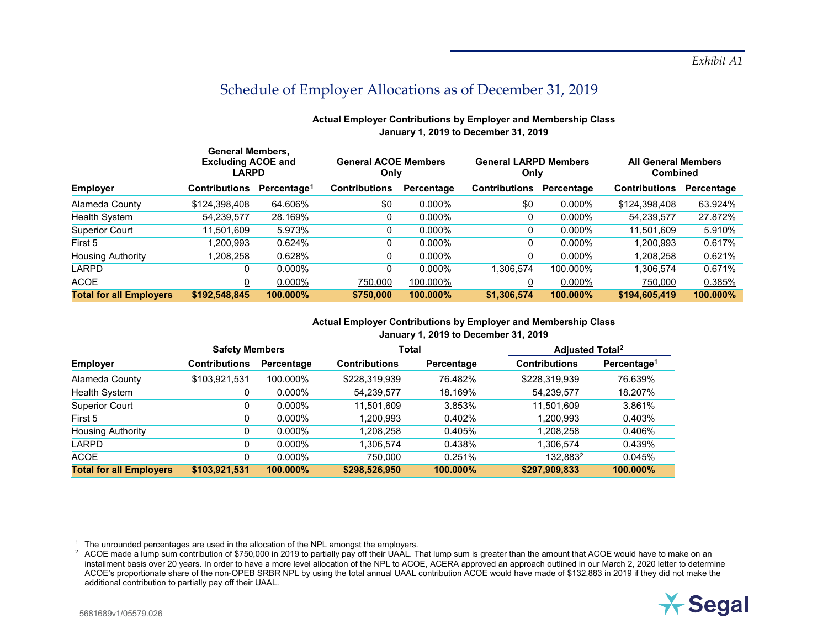|                                | <b>General Members.</b><br><b>Excluding ACOE and</b><br><b>LARPD</b> |                         | <b>General ACOE Members</b><br>Only |            | <b>General LARPD Members</b><br>Only |            | <b>All General Members</b><br><b>Combined</b> |            |
|--------------------------------|----------------------------------------------------------------------|-------------------------|-------------------------------------|------------|--------------------------------------|------------|-----------------------------------------------|------------|
| <b>Employer</b>                | <b>Contributions</b>                                                 | Percentage <sup>1</sup> | <b>Contributions</b>                | Percentage | <b>Contributions</b>                 | Percentage | <b>Contributions</b>                          | Percentage |
| Alameda County                 | \$124,398,408                                                        | 64.606%                 | \$0                                 | $0.000\%$  | \$0                                  | 0.000%     | \$124.398.408                                 | 63.924%    |
| <b>Health System</b>           | 54,239,577                                                           | 28.169%                 | 0                                   | $0.000\%$  | 0                                    | $0.000\%$  | 54.239.577                                    | 27.872%    |
| <b>Superior Court</b>          | 11,501,609                                                           | 5.973%                  | 0                                   | $0.000\%$  |                                      | $0.000\%$  | 11.501.609                                    | 5.910%     |
| First 5                        | 1.200.993                                                            | 0.624%                  | 0                                   | $0.000\%$  | 0                                    | $0.000\%$  | 1.200.993                                     | 0.617%     |
| <b>Housing Authority</b>       | 1.208.258                                                            | 0.628%                  | 0                                   | $0.000\%$  |                                      | $0.000\%$  | 1.208.258                                     | 0.621%     |
| LARPD                          | 0                                                                    | $0.000\%$               | 0                                   | $0.000\%$  | 1.306.574                            | 100.000%   | 1.306.574                                     | 0.671%     |
| <b>ACOE</b>                    | 0                                                                    | $0.000\%$               | 750,000                             | 100.000%   |                                      | 0.000%     | 750,000                                       | 0.385%     |
| <b>Total for all Employers</b> | \$192,548,845                                                        | 100.000%                | \$750,000                           | 100.000%   | \$1,306,574                          | 100.000%   | \$194,605,419                                 | 100.000%   |

# <span id="page-2-1"></span><span id="page-2-0"></span>**Actual Employer Contributions by Employer and Membership Class January 1, 2019 to December 31, 2019**

# **Actual Employer Contributions by Employer and Membership Class January 1, 2019 to December 31, 2019**

|                                | <b>Safety Members</b> |            | Total                |            | <b>Adjusted Total<sup>2</sup></b> |                         |
|--------------------------------|-----------------------|------------|----------------------|------------|-----------------------------------|-------------------------|
| <b>Employer</b>                | <b>Contributions</b>  | Percentage | <b>Contributions</b> | Percentage | <b>Contributions</b>              | Percentage <sup>1</sup> |
| Alameda County                 | \$103,921,531         | 100.000%   | \$228,319,939        | 76.482%    | \$228,319,939                     | 76.639%                 |
| Health System                  |                       | $0.000\%$  | 54,239,577           | 18.169%    | 54,239,577                        | 18.207%                 |
| <b>Superior Court</b>          |                       | $0.000\%$  | 11,501,609           | 3.853%     | 11,501,609                        | 3.861%                  |
| First 5                        |                       | $0.000\%$  | 1,200,993            | 0.402%     | 1,200,993                         | 0.403%                  |
| <b>Housing Authority</b>       |                       | $0.000\%$  | 1,208,258            | 0.405%     | 1,208,258                         | 0.406%                  |
| <b>LARPD</b>                   |                       | $0.000\%$  | 1,306,574            | 0.438%     | 1,306,574                         | 0.439%                  |
| <b>ACOE</b>                    |                       | $0.000\%$  | 750,000              | 0.251%     | 132,883 <sup>2</sup>              | 0.045%                  |
| <b>Total for all Employers</b> | \$103,921,531         | 100.000%   | \$298,526,950        | 100.000%   | \$297,909,833                     | 100.000%                |

<sup>1</sup> The unrounded percentages are used in the allocation of the NPL amongst the employers.

<sup>2</sup> ACOE made a lump sum contribution of \$750,000 in 2019 to partially pay off their UAAL. That lump sum is greater than the amount that ACOE would have to make on an installment basis over 20 years. In order to have a more level allocation of the NPL to ACOE, ACERA approved an approach outlined in our March 2, 2020 letter to determine ACOE's proportionate share of the non-OPEB SRBR NPL by using the total annual UAAL contribution ACOE would have made of \$132,883 in 2019 if they did not make the additional contribution to partially pay off their UAAL.

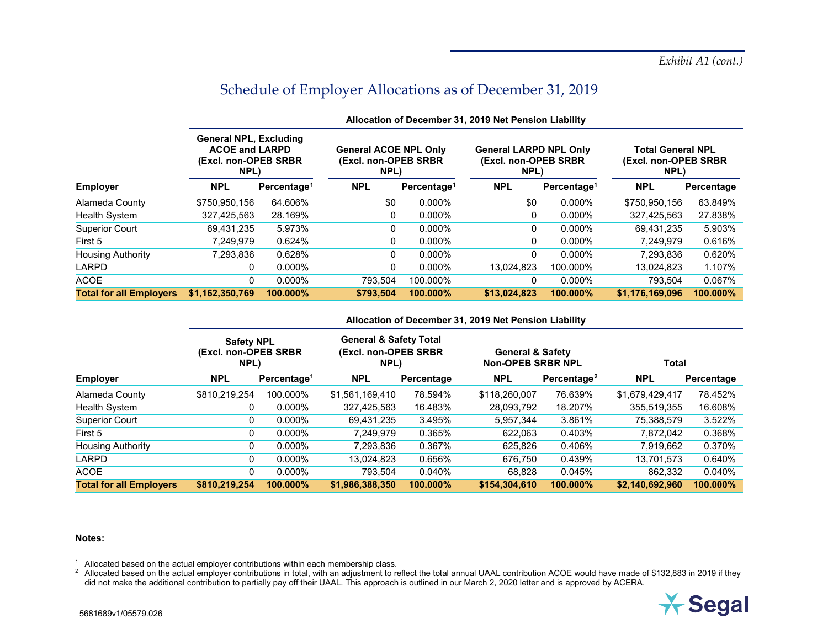| <b>NPL</b>      | Percentage <sup>1</sup> | <b>NPL</b>                                                                              |           | <b>NPL</b>                                                                               |           | <b>NPL</b>                                                                               | Percentage                                               |
|-----------------|-------------------------|-----------------------------------------------------------------------------------------|-----------|------------------------------------------------------------------------------------------|-----------|------------------------------------------------------------------------------------------|----------------------------------------------------------|
| \$750,950,156   | 64.606%                 | \$0                                                                                     | $0.000\%$ | \$0                                                                                      | 0.000%    | \$750,950,156                                                                            | 63.849%                                                  |
| 327.425.563     | 28.169%                 | 0                                                                                       | $0.000\%$ | 0                                                                                        | $0.000\%$ | 327.425.563                                                                              | 27.838%                                                  |
| 69,431,235      | 5.973%                  | 0                                                                                       | $0.000\%$ | 0                                                                                        | 0.000%    | 69.431.235                                                                               | 5.903%                                                   |
| 7.249.979       | 0.624%                  | 0                                                                                       | $0.000\%$ | 0                                                                                        | $0.000\%$ | 7.249.979                                                                                | 0.616%                                                   |
| 7.293.836       | 0.628%                  | 0                                                                                       | $0.000\%$ | 0                                                                                        | $0.000\%$ | 7,293,836                                                                                | 0.620%                                                   |
| 0               | $0.000\%$               | 0                                                                                       | $0.000\%$ | 13.024.823                                                                               | 100.000%  | 13.024.823                                                                               | 1.107%                                                   |
| 0               | $0.000\%$               | 793.504                                                                                 | 100.000%  |                                                                                          | 0.000%    | 793,504                                                                                  | 0.067%                                                   |
| \$1,162,350,769 | 100.000%                | \$793,504                                                                               | 100.000%  | \$13,024,823                                                                             | 100.000%  | \$1,176,169,096                                                                          | 100.000%                                                 |
|                 |                         | <b>General NPL, Excluding</b><br><b>ACOE and LARPD</b><br>(Excl. non-OPEB SRBR)<br>NPL) |           | <b>General ACOE NPL Only</b><br>(Excl. non-OPEB SRBR)<br>NPL)<br>Percentage <sup>1</sup> |           | <b>General LARPD NPL Only</b><br>(Excl. non-OPEB SRBR<br>NPL)<br>Percentage <sup>1</sup> | <b>Total General NPL</b><br>(Excl. non-OPEB SRBR<br>NPL) |

### <span id="page-3-1"></span><span id="page-3-0"></span>**Allocation of December 31, 2019 Net Pension Liability**

#### **Allocation of December 31, 2019 Net Pension Liability**

|                                | <b>Safety NPL</b><br>(Excl. non-OPEB SRBR)<br>NPL) |                         | <b>General &amp; Safety Total</b><br>(Excl. non-OPEB SRBR)<br>NPL) |            | <b>General &amp; Safety</b><br><b>Non-OPEB SRBR NPL</b> |                         | <b>Total</b>    |            |
|--------------------------------|----------------------------------------------------|-------------------------|--------------------------------------------------------------------|------------|---------------------------------------------------------|-------------------------|-----------------|------------|
| <b>Employer</b>                | <b>NPL</b>                                         | Percentage <sup>1</sup> | <b>NPL</b>                                                         | Percentage | <b>NPL</b>                                              | Percentage <sup>2</sup> | <b>NPL</b>      | Percentage |
| Alameda County                 | \$810,219,254                                      | 100.000%                | \$1,561,169,410                                                    | 78.594%    | \$118,260,007                                           | 76.639%                 | \$1,679,429,417 | 78.452%    |
| Health System                  | 0                                                  | $0.000\%$               | 327,425,563                                                        | 16.483%    | 28,093,792                                              | 18.207%                 | 355,519,355     | 16.608%    |
| <b>Superior Court</b>          | 0                                                  | $0.000\%$               | 69,431,235                                                         | 3.495%     | 5,957,344                                               | 3.861%                  | 75,388,579      | 3.522%     |
| First 5                        | 0                                                  | $0.000\%$               | 7.249.979                                                          | 0.365%     | 622.063                                                 | 0.403%                  | 7,872,042       | 0.368%     |
| <b>Housing Authority</b>       | 0                                                  | 0.000%                  | 7.293.836                                                          | 0.367%     | 625.826                                                 | 0.406%                  | 7,919,662       | 0.370%     |
| LARPD                          | 0                                                  | 0.000%                  | 13.024.823                                                         | 0.656%     | 676.750                                                 | 0.439%                  | 13.701.573      | 0.640%     |
| <b>ACOE</b>                    | 0                                                  | 0.000%                  | 793,504                                                            | $0.040\%$  | 68,828                                                  | 0.045%                  | 862,332         | 0.040%     |
| <b>Total for all Employers</b> | \$810,219,254                                      | 100.000%                | \$1.986.388.350                                                    | 100.000%   | \$154,304,610                                           | 100.000%                | \$2,140,692,960 | 100.000%   |

#### **Notes:**

 $1$  Allocated based on the actual employer contributions within each membership class.

 $^2$  Allocated based on the actual employer contributions in total, with an adjustment to reflect the total annual UAAL contribution ACOE would have made of \$132,883 in 2019 if they did not make the additional contribution to partially pay off their UAAL. This approach is outlined in our March 2, 2020 letter and is approved by ACERA.

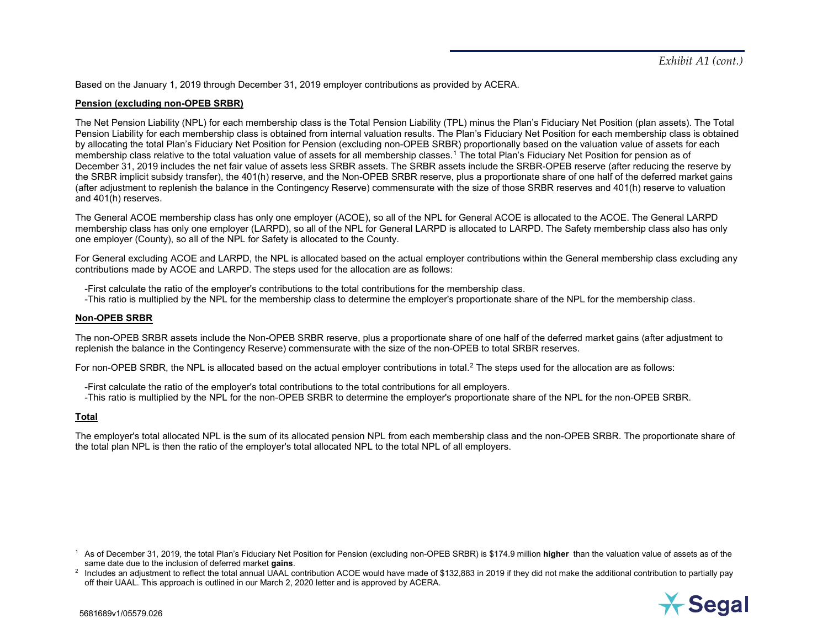<span id="page-4-1"></span><span id="page-4-0"></span>Based on the January 1, 2019 through December 31, 2019 employer contributions as provided by ACERA.

### **Pension (excluding non-OPEB SRBR)**

The Net Pension Liability (NPL) for each membership class is the Total Pension Liability (TPL) minus the Plan's Fiduciary Net Position (plan assets). The Total Pension Liability for each membership class is obtained from internal valuation results. The Plan's Fiduciary Net Position for each membership class is obtained by allocating the total Plan's Fiduciary Net Position for Pension (excluding non-OPEB SRBR) proportionally based on the valuation value of assets for each membership class relative to the total valuation value of assets for all membership classes.[1](#page-4-0) The total Plan's Fiduciary Net Position for pension as of December 31, 2019 includes the net fair value of assets less SRBR assets. The SRBR assets include the SRBR-OPEB reserve (after reducing the reserve by the SRBR implicit subsidy transfer), the 401(h) reserve, and the Non-OPEB SRBR reserve, plus a proportionate share of one half of the deferred market gains (after adjustment to replenish the balance in the Contingency Reserve) commensurate with the size of those SRBR reserves and 401(h) reserve to valuation and 401(h) reserves.

The General ACOE membership class has only one employer (ACOE), so all of the NPL for General ACOE is allocated to the ACOE. The General LARPD membership class has only one employer (LARPD), so all of the NPL for General LARPD is allocated to LARPD. The Safety membership class also has only one employer (County), so all of the NPL for Safety is allocated to the County.

For General excluding ACOE and LARPD, the NPL is allocated based on the actual employer contributions within the General membership class excluding any contributions made by ACOE and LARPD. The steps used for the allocation are as follows:

-First calculate the ratio of the employer's contributions to the total contributions for the membership class.

-This ratio is multiplied by the NPL for the membership class to determine the employer's proportionate share of the NPL for the membership class.

#### **Non-OPEB SRBR**

The non-OPEB SRBR assets include the Non-OPEB SRBR reserve, plus a proportionate share of one half of the deferred market gains (after adjustment to replenish the balance in the Contingency Reserve) commensurate with the size of the non-OPEB to total SRBR reserves.

For non-OPEB SRBR, the NPL is allocated based on the actual employer contributions in total.<sup>[2](#page-4-1)</sup> The steps used for the allocation are as follows:

-First calculate the ratio of the employer's total contributions to the total contributions for all employers.

-This ratio is multiplied by the NPL for the non-OPEB SRBR to determine the employer's proportionate share of the NPL for the non-OPEB SRBR.

#### **Total**

The employer's total allocated NPL is the sum of its allocated pension NPL from each membership class and the non-OPEB SRBR. The proportionate share of the total plan NPL is then the ratio of the employer's total allocated NPL to the total NPL of all employers.

<sup>1</sup> As of December 31, 2019, the total Plan's Fiduciary Net Position for Pension (excluding non-OPEB SRBR) is \$174.9 million **higher** than the valuation value of assets as of the same date due to the inclusion of deferred market **gains**.

 $^2$  Includes an adjustment to reflect the total annual UAAL contribution ACOE would have made of \$132,883 in 2019 if they did not make the additional contribution to partially pay off their UAAL. This approach is outlined in our March 2, 2020 letter and is approved by ACERA.

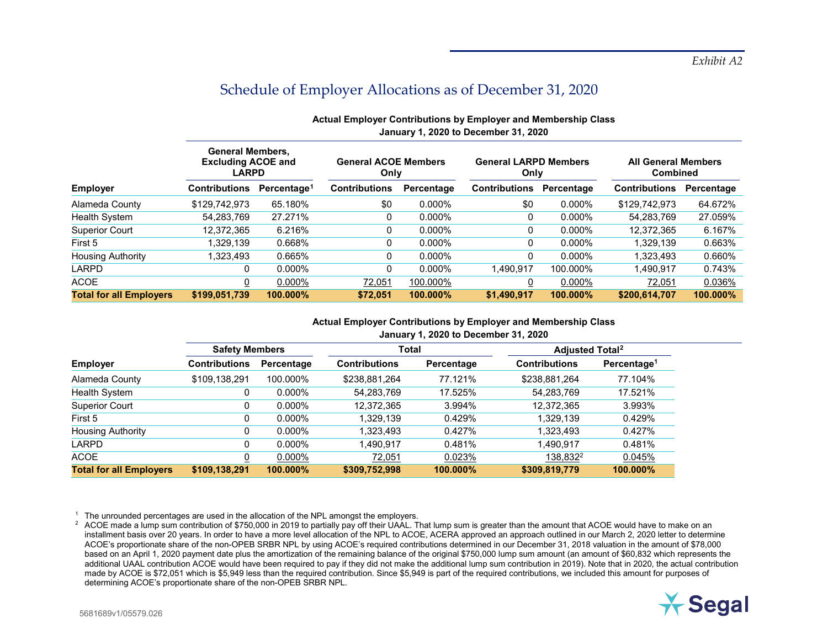|                                | <b>General Members,</b><br><b>Excluding ACOE and</b><br><b>LARPD</b> |                         | <b>General ACOE Members</b><br>Only |             | <b>General LARPD Members</b><br>Only |            |                      | <b>All General Members</b><br><b>Combined</b> |  |  |
|--------------------------------|----------------------------------------------------------------------|-------------------------|-------------------------------------|-------------|--------------------------------------|------------|----------------------|-----------------------------------------------|--|--|
| <b>Employer</b>                | <b>Contributions</b>                                                 | Percentage <sup>1</sup> | <b>Contributions</b>                | Percentage  | <b>Contributions</b>                 | Percentage | <b>Contributions</b> | Percentage                                    |  |  |
| Alameda County                 | \$129,742,973                                                        | 65.180%                 | \$0                                 | $0.000\%$   | \$0                                  | 0.000%     | \$129,742,973        | 64.672%                                       |  |  |
| <b>Health System</b>           | 54,283,769                                                           | 27.271%                 | 0                                   | $0.000\%$   | 0                                    | $0.000\%$  | 54,283,769           | 27.059%                                       |  |  |
| <b>Superior Court</b>          | 12,372,365                                                           | 6.216%                  | 0                                   | $0.000\%$   |                                      | $0.000\%$  | 12,372,365           | 6.167%                                        |  |  |
| First 5                        | 1.329.139                                                            | 0.668%                  | 0                                   | $0.000\%$   | 0                                    | $0.000\%$  | 1.329.139            | 0.663%                                        |  |  |
| <b>Housing Authority</b>       | 1.323.493                                                            | 0.665%                  | 0                                   | $0.000\%$   |                                      | $0.000\%$  | 1.323.493            | 0.660%                                        |  |  |
| LARPD                          | C                                                                    | $0.000\%$               |                                     | $0.000\%$   | 1.490.917                            | 100.000%   | 1.490.917            | 0.743%                                        |  |  |
| <b>ACOE</b>                    | 0                                                                    | $0.000\%$               | 72,051                              | 100.000%    |                                      | 0.000%     | 72,051               | 0.036%                                        |  |  |
| <b>Total for all Employers</b> | \$199,051,739                                                        | 100.000%                | \$72,051                            | $100.000\%$ | \$1,490,917                          | 100.000%   | \$200,614,707        | 100.000%                                      |  |  |

# <span id="page-5-1"></span><span id="page-5-0"></span>**Actual Employer Contributions by Employer and Membership Class January 1, 2020 to December 31, 2020**

## **Actual Employer Contributions by Employer and Membership Class January 1, 2020 to December 31, 2020**

|                                | <b>Safety Members</b> |            | Total                |            | <b>Adjusted Total<sup>2</sup></b> |                         |
|--------------------------------|-----------------------|------------|----------------------|------------|-----------------------------------|-------------------------|
| <b>Employer</b>                | <b>Contributions</b>  | Percentage | <b>Contributions</b> | Percentage | <b>Contributions</b>              | Percentage <sup>1</sup> |
| Alameda County                 | \$109,138,291         | 100.000%   | \$238,881,264        | 77.121%    | \$238,881,264                     | 77.104%                 |
| Health System                  | 0                     | $0.000\%$  | 54,283,769           | 17.525%    | 54,283,769                        | 17.521%                 |
| <b>Superior Court</b>          | 0                     | $0.000\%$  | 12,372,365           | 3.994%     | 12,372,365                        | 3.993%                  |
| First 5                        | 0                     | $0.000\%$  | 1,329,139            | 0.429%     | 1,329,139                         | 0.429%                  |
| <b>Housing Authority</b>       | 0                     | $0.000\%$  | 1,323,493            | 0.427%     | 1,323,493                         | 0.427%                  |
| LARPD                          | 0                     | $0.000\%$  | 1,490,917            | 0.481%     | 1,490,917                         | 0.481%                  |
| <b>ACOE</b>                    |                       | $0.000\%$  | 72,051               | 0.023%     | 138,832 <sup>2</sup>              | 0.045%                  |
| <b>Total for all Employers</b> | \$109,138,291         | 100.000%   | \$309,752,998        | 100.000%   | \$309,819,779                     | 100.000%                |

<sup>1</sup> The unrounded percentages are used in the allocation of the NPL amongst the employers.

<sup>2</sup> ACOE made a lump sum contribution of \$750,000 in 2019 to partially pay off their UAAL. That lump sum is greater than the amount that ACOE would have to make on an installment basis over 20 years. In order to have a more level allocation of the NPL to ACOE, ACERA approved an approach outlined in our March 2, 2020 letter to determine ACOE's proportionate share of the non-OPEB SRBR NPL by using ACOE's required contributions determined in our December 31, 2018 valuation in the amount of \$78,000 based on an April 1, 2020 payment date plus the amortization of the remaining balance of the original \$750,000 lump sum amount (an amount of \$60,832 which represents the additional UAAL contribution ACOE would have been required to pay if they did not make the additional lump sum contribution in 2019). Note that in 2020, the actual contribution made by ACOE is \$72,051 which is \$5,949 less than the required contribution. Since \$5,949 is part of the required contributions, we included this amount for purposes of determining ACOE's proportionate share of the non-OPEB SRBR NPL.

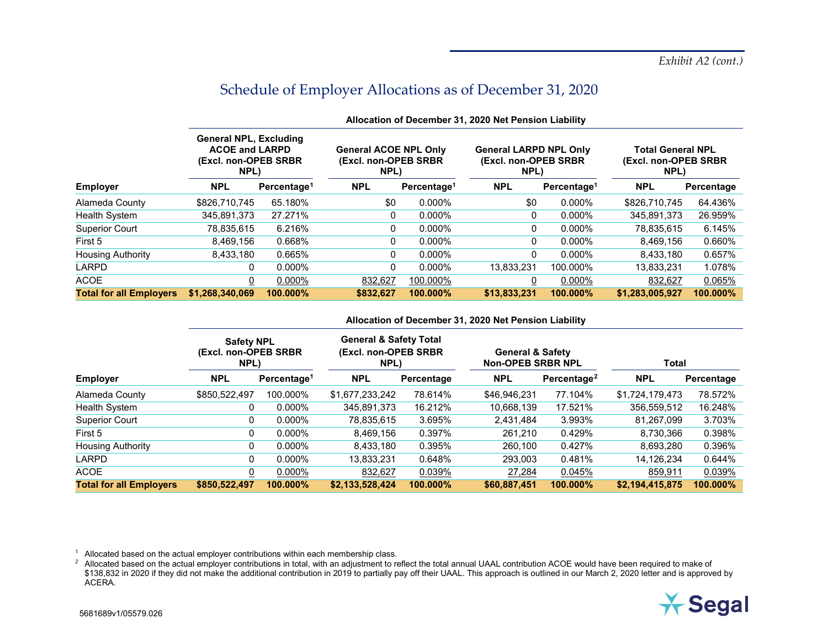|                                | <b>General NPL, Excluding</b><br><b>ACOE and LARPD</b><br>(Excl. non-OPEB SRBR)<br>NPL) |                         | <b>General ACOE NPL Only</b><br>(Excl. non-OPEB SRBR)<br>NPL) |                         | <b>General LARPD NPL Only</b><br>(Excl. non-OPEB SRBR)<br>NPL) |                         | <b>Total General NPL</b><br>(Excl. non-OPEB SRBR<br>NPL) |            |
|--------------------------------|-----------------------------------------------------------------------------------------|-------------------------|---------------------------------------------------------------|-------------------------|----------------------------------------------------------------|-------------------------|----------------------------------------------------------|------------|
| <b>Employer</b>                | <b>NPL</b>                                                                              | Percentage <sup>1</sup> | <b>NPL</b>                                                    | Percentage <sup>1</sup> | <b>NPL</b>                                                     | Percentage <sup>1</sup> | <b>NPL</b>                                               | Percentage |
| Alameda County                 | \$826,710,745                                                                           | 65.180%                 | \$0                                                           | 0.000%                  | \$0                                                            | 0.000%                  | \$826,710,745                                            | 64.436%    |
| Health System                  | 345.891.373                                                                             | 27.271%                 | 0                                                             | $0.000\%$               | 0                                                              | 0.000%                  | 345.891.373                                              | 26.959%    |
| <b>Superior Court</b>          | 78,835,615                                                                              | 6.216%                  | 0                                                             | $0.000\%$               | 0                                                              | 0.000%                  | 78,835,615                                               | 6.145%     |
| First 5                        | 8.469.156                                                                               | 0.668%                  | 0                                                             | $0.000\%$               | 0                                                              | 0.000%                  | 8.469.156                                                | 0.660%     |
| Housing Authority              | 8.433.180                                                                               | 0.665%                  | 0                                                             | $0.000\%$               | 0                                                              | 0.000%                  | 8,433,180                                                | 0.657%     |
| LARPD                          | 0                                                                                       | $0.000\%$               | 0                                                             | 0.000%                  | 13.833.231                                                     | 100.000%                | 13.833.231                                               | 1.078%     |
| ACOE                           | 0                                                                                       | $0.000\%$               | 832.627                                                       | 100.000%                |                                                                | 0.000%                  | 832,627                                                  | 0.065%     |
| <b>Total for all Employers</b> | \$1,268,340,069                                                                         | 100.000%                | \$832,627                                                     | 100.000%                | \$13,833,231                                                   | 100.000%                | \$1,283,005,927                                          | 100.000%   |
|                                |                                                                                         |                         |                                                               |                         |                                                                |                         |                                                          |            |

### <span id="page-6-1"></span><span id="page-6-0"></span>**Allocation of December 31, 2020 Net Pension Liability**

#### **Allocation of December 31, 2020 Net Pension Liability**

|                                | <b>Safety NPL</b><br>(Excl. non-OPEB SRBR)<br>NPL) |                         | <b>General &amp; Safety Total</b><br>(Excl. non-OPEB SRBR<br>NPL) |            | <b>General &amp; Safety</b><br><b>Non-OPEB SRBR NPL</b> |                         | Total           |            |
|--------------------------------|----------------------------------------------------|-------------------------|-------------------------------------------------------------------|------------|---------------------------------------------------------|-------------------------|-----------------|------------|
| <b>Employer</b>                | <b>NPL</b>                                         | Percentage <sup>1</sup> | <b>NPL</b>                                                        | Percentage | <b>NPL</b>                                              | Percentage <sup>2</sup> | <b>NPL</b>      | Percentage |
| Alameda County                 | \$850,522,497                                      | 100.000%                | \$1,677,233,242                                                   | 78.614%    | \$46,946,231                                            | 77.104%                 | \$1,724,179,473 | 78.572%    |
| <b>Health System</b>           | 0                                                  | $0.000\%$               | 345.891.373                                                       | 16.212%    | 10,668,139                                              | 17.521%                 | 356.559.512     | 16.248%    |
| <b>Superior Court</b>          | 0                                                  | $0.000\%$               | 78,835,615                                                        | 3.695%     | 2,431,484                                               | 3.993%                  | 81,267,099      | 3.703%     |
| First 5                        | 0                                                  | $0.000\%$               | 8,469,156                                                         | 0.397%     | 261,210                                                 | 0.429%                  | 8,730,366       | 0.398%     |
| <b>Housing Authority</b>       | 0                                                  | $0.000\%$               | 8,433,180                                                         | 0.395%     | 260,100                                                 | 0.427%                  | 8,693,280       | 0.396%     |
| <b>LARPD</b>                   | 0                                                  | $0.000\%$               | 13,833,231                                                        | 0.648%     | 293,003                                                 | 0.481%                  | 14,126,234      | 0.644%     |
| <b>ACOE</b>                    |                                                    | $0.000\%$               | 832,627                                                           | 0.039%     | 27,284                                                  | 0.045%                  | 859,911         | 0.039%     |
| <b>Total for all Employers</b> | \$850,522,497                                      | 100.000%                | \$2,133,528,424                                                   | 100.000%   | \$60,887,451                                            | 100.000%                | \$2,194,415,875 | 100.000%   |

<sup>1</sup> Allocated based on the actual employer contributions within each membership class.

 $^{\rm 2}$  Allocated based on the actual employer contributions in total, with an adjustment to reflect the total annual UAAL contribution ACOE would have been required to make of \$138,832 in 2020 if they did not make the additional contribution in 2019 to partially pay off their UAAL. This approach is outlined in our March 2, 2020 letter and is approved by ACERA.

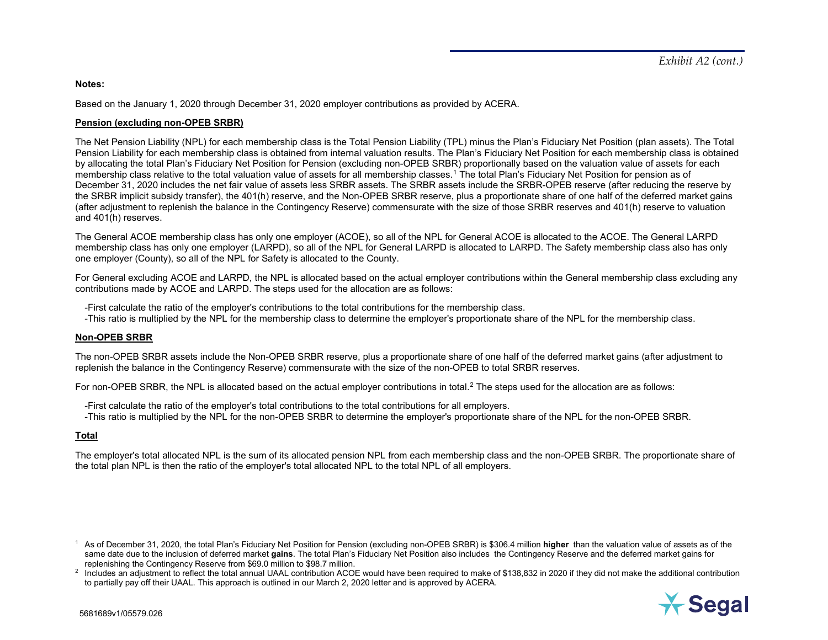## <span id="page-7-1"></span><span id="page-7-0"></span>**Notes:**

Based on the January 1, 2020 through December 31, 2020 employer contributions as provided by ACERA.

## **Pension (excluding non-OPEB SRBR)**

The Net Pension Liability (NPL) for each membership class is the Total Pension Liability (TPL) minus the Plan's Fiduciary Net Position (plan assets). The Total Pension Liability for each membership class is obtained from internal valuation results. The Plan's Fiduciary Net Position for each membership class is obtained by allocating the total Plan's Fiduciary Net Position for Pension (excluding non-OPEB SRBR) proportionally based on the valuation value of assets for each membership class relative to the total valuation value of assets for all membership classes.<sup>[1](#page-7-0)</sup> The total Plan's Fiduciary Net Position for pension as of December 31, 2020 includes the net fair value of assets less SRBR assets. The SRBR assets include the SRBR-OPEB reserve (after reducing the reserve by the SRBR implicit subsidy transfer), the 401(h) reserve, and the Non-OPEB SRBR reserve, plus a proportionate share of one half of the deferred market gains (after adjustment to replenish the balance in the Contingency Reserve) commensurate with the size of those SRBR reserves and 401(h) reserve to valuation and 401(h) reserves.

The General ACOE membership class has only one employer (ACOE), so all of the NPL for General ACOE is allocated to the ACOE. The General LARPD membership class has only one employer (LARPD), so all of the NPL for General LARPD is allocated to LARPD. The Safety membership class also has only one employer (County), so all of the NPL for Safety is allocated to the County.

For General excluding ACOE and LARPD, the NPL is allocated based on the actual employer contributions within the General membership class excluding any contributions made by ACOE and LARPD. The steps used for the allocation are as follows:

-First calculate the ratio of the employer's contributions to the total contributions for the membership class.

-This ratio is multiplied by the NPL for the membership class to determine the employer's proportionate share of the NPL for the membership class.

## **Non-OPEB SRBR**

The non-OPEB SRBR assets include the Non-OPEB SRBR reserve, plus a proportionate share of one half of the deferred market gains (after adjustment to replenish the balance in the Contingency Reserve) commensurate with the size of the non-OPEB to total SRBR reserves.

For non-OPEB SRBR, the NPL is allocated based on the actual employer contributions in total.<sup>[2](#page-7-1)</sup> The steps used for the allocation are as follows:

-First calculate the ratio of the employer's total contributions to the total contributions for all employers.

-This ratio is multiplied by the NPL for the non-OPEB SRBR to determine the employer's proportionate share of the NPL for the non-OPEB SRBR.

# **Total**

The employer's total allocated NPL is the sum of its allocated pension NPL from each membership class and the non-OPEB SRBR. The proportionate share of the total plan NPL is then the ratio of the employer's total allocated NPL to the total NPL of all employers.

<sup>&</sup>lt;sup>2</sup> Includes an adjustment to reflect the total annual UAAL contribution ACOE would have been required to make of \$138,832 in 2020 if they did not make the additional contribution to partially pay off their UAAL. This approach is outlined in our March 2, 2020 letter and is approved by ACERA.



<sup>1</sup> As of December 31, 2020, the total Plan's Fiduciary Net Position for Pension (excluding non-OPEB SRBR) is \$306.4 million **higher** than the valuation value of assets as of the same date due to the inclusion of deferred market **gains**. The total Plan's Fiduciary Net Position also includes the Contingency Reserve and the deferred market gains for replenishing the Contingency Reserve from \$69.0 million to \$98.7 million.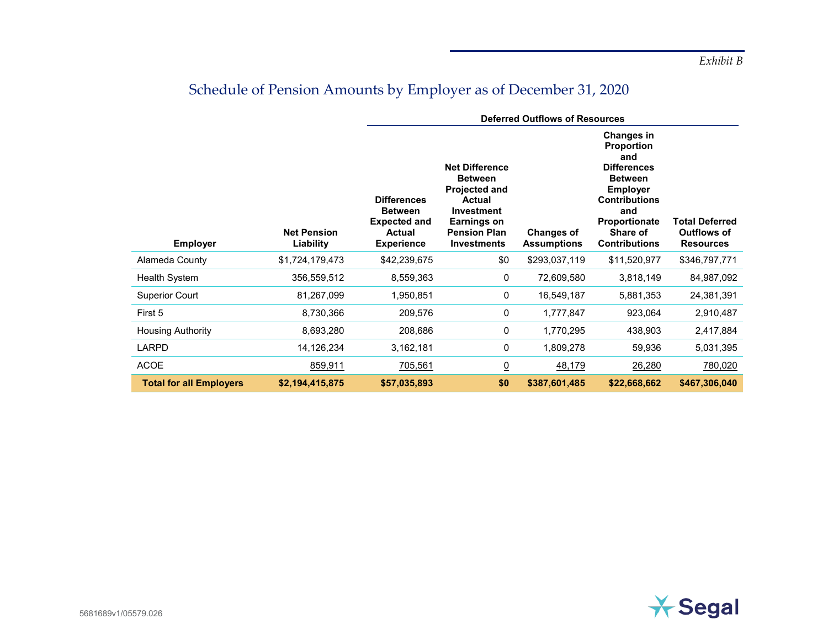# Schedule of Pension Amounts by Employer as of December 31, 2020

|                                |                                 | <b>Deferred Outflows of Resources</b>                                                      |                                                                                                                                                                          |                                         |                                                                                                                                                                                              |                                                                 |  |
|--------------------------------|---------------------------------|--------------------------------------------------------------------------------------------|--------------------------------------------------------------------------------------------------------------------------------------------------------------------------|-----------------------------------------|----------------------------------------------------------------------------------------------------------------------------------------------------------------------------------------------|-----------------------------------------------------------------|--|
| <b>Employer</b>                | <b>Net Pension</b><br>Liability | <b>Differences</b><br><b>Between</b><br><b>Expected and</b><br>Actual<br><b>Experience</b> | <b>Net Difference</b><br><b>Between</b><br><b>Projected and</b><br><b>Actual</b><br><b>Investment</b><br><b>Earnings on</b><br><b>Pension Plan</b><br><b>Investments</b> | <b>Changes of</b><br><b>Assumptions</b> | <b>Changes in</b><br><b>Proportion</b><br>and<br><b>Differences</b><br><b>Between</b><br><b>Employer</b><br><b>Contributions</b><br>and<br>Proportionate<br>Share of<br><b>Contributions</b> | <b>Total Deferred</b><br><b>Outflows of</b><br><b>Resources</b> |  |
| Alameda County                 | \$1,724,179,473                 | \$42,239,675                                                                               | \$0                                                                                                                                                                      | \$293,037,119                           | \$11,520,977                                                                                                                                                                                 | \$346,797,771                                                   |  |
| Health System                  | 356,559,512                     | 8,559,363                                                                                  | 0                                                                                                                                                                        | 72,609,580                              | 3,818,149                                                                                                                                                                                    | 84,987,092                                                      |  |
| <b>Superior Court</b>          | 81,267,099                      | 1,950,851                                                                                  | 0                                                                                                                                                                        | 16,549,187                              | 5,881,353                                                                                                                                                                                    | 24,381,391                                                      |  |
| First 5                        | 8,730,366                       | 209,576                                                                                    | 0                                                                                                                                                                        | 1,777,847                               | 923,064                                                                                                                                                                                      | 2,910,487                                                       |  |
| <b>Housing Authority</b>       | 8,693,280                       | 208,686                                                                                    | 0                                                                                                                                                                        | 1,770,295                               | 438,903                                                                                                                                                                                      | 2,417,884                                                       |  |
| <b>LARPD</b>                   | 14,126,234                      | 3,162,181                                                                                  | 0                                                                                                                                                                        | 1,809,278                               | 59,936                                                                                                                                                                                       | 5,031,395                                                       |  |
| <b>ACOE</b>                    | 859,911                         | 705,561                                                                                    | $\underline{0}$                                                                                                                                                          | 48,179                                  | 26,280                                                                                                                                                                                       | 780,020                                                         |  |
| <b>Total for all Employers</b> | \$2,194,415,875                 | \$57,035,893                                                                               | \$0                                                                                                                                                                      | \$387,601,485                           | \$22,668,662                                                                                                                                                                                 | \$467,306,040                                                   |  |

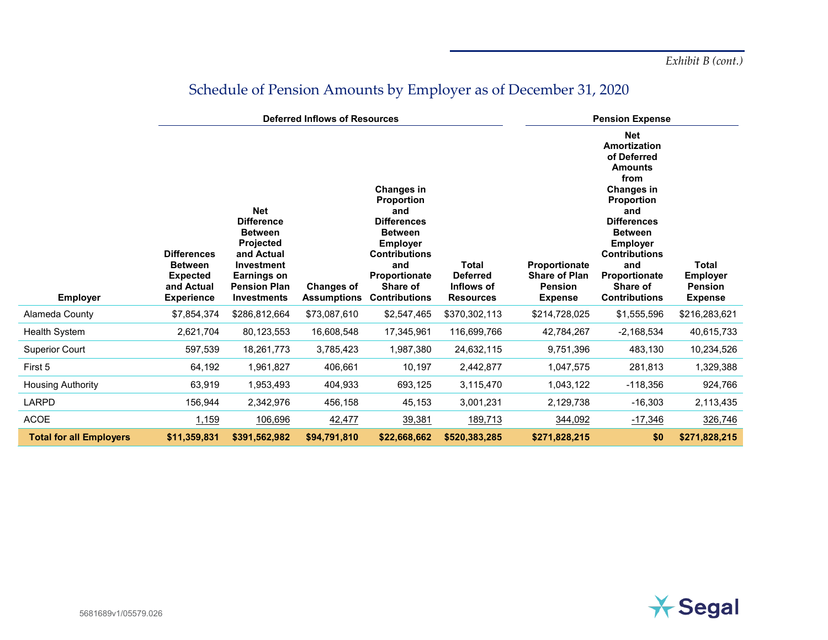*Exhibit B (cont.)*

|                                | <b>Deferred Inflows of Resources</b>                                                       |                                                                                                                                                        |                                         |                                                                                                                                                                                              |                                                                   |                                                                           | <b>Pension Expense</b>                                                                                                                                                                                                                                                     |                                                                     |  |
|--------------------------------|--------------------------------------------------------------------------------------------|--------------------------------------------------------------------------------------------------------------------------------------------------------|-----------------------------------------|----------------------------------------------------------------------------------------------------------------------------------------------------------------------------------------------|-------------------------------------------------------------------|---------------------------------------------------------------------------|----------------------------------------------------------------------------------------------------------------------------------------------------------------------------------------------------------------------------------------------------------------------------|---------------------------------------------------------------------|--|
| <b>Employer</b>                | <b>Differences</b><br><b>Between</b><br><b>Expected</b><br>and Actual<br><b>Experience</b> | <b>Net</b><br><b>Difference</b><br><b>Between</b><br>Projected<br>and Actual<br>Investment<br>Earnings on<br><b>Pension Plan</b><br><b>Investments</b> | <b>Changes of</b><br><b>Assumptions</b> | <b>Changes in</b><br><b>Proportion</b><br>and<br><b>Differences</b><br><b>Between</b><br><b>Employer</b><br><b>Contributions</b><br>and<br>Proportionate<br>Share of<br><b>Contributions</b> | <b>Total</b><br><b>Deferred</b><br>Inflows of<br><b>Resources</b> | Proportionate<br><b>Share of Plan</b><br><b>Pension</b><br><b>Expense</b> | <b>Net</b><br><b>Amortization</b><br>of Deferred<br><b>Amounts</b><br>from<br><b>Changes in</b><br><b>Proportion</b><br>and<br><b>Differences</b><br><b>Between</b><br><b>Employer</b><br><b>Contributions</b><br>and<br>Proportionate<br>Share of<br><b>Contributions</b> | <b>Total</b><br><b>Employer</b><br><b>Pension</b><br><b>Expense</b> |  |
| Alameda County                 | \$7,854,374                                                                                | \$286,812,664                                                                                                                                          | \$73,087,610                            | \$2,547,465                                                                                                                                                                                  | \$370,302,113                                                     | \$214,728,025                                                             | \$1,555,596                                                                                                                                                                                                                                                                | \$216,283,621                                                       |  |
| Health System                  | 2,621,704                                                                                  | 80,123,553                                                                                                                                             | 16,608,548                              | 17,345,961                                                                                                                                                                                   | 116,699,766                                                       | 42,784,267                                                                | $-2,168,534$                                                                                                                                                                                                                                                               | 40,615,733                                                          |  |
| <b>Superior Court</b>          | 597,539                                                                                    | 18,261,773                                                                                                                                             | 3,785,423                               | 1,987,380                                                                                                                                                                                    | 24,632,115                                                        | 9,751,396                                                                 | 483,130                                                                                                                                                                                                                                                                    | 10,234,526                                                          |  |
| First 5                        | 64,192                                                                                     | 1,961,827                                                                                                                                              | 406,661                                 | 10,197                                                                                                                                                                                       | 2,442,877                                                         | 1,047,575                                                                 | 281,813                                                                                                                                                                                                                                                                    | 1,329,388                                                           |  |
| Housing Authority              | 63,919                                                                                     | 1,953,493                                                                                                                                              | 404,933                                 | 693,125                                                                                                                                                                                      | 3,115,470                                                         | 1,043,122                                                                 | $-118,356$                                                                                                                                                                                                                                                                 | 924,766                                                             |  |
| LARPD                          | 156,944                                                                                    | 2,342,976                                                                                                                                              | 456,158                                 | 45,153                                                                                                                                                                                       | 3,001,231                                                         | 2,129,738                                                                 | $-16,303$                                                                                                                                                                                                                                                                  | 2,113,435                                                           |  |
| ACOE                           | 1,159                                                                                      | 106,696                                                                                                                                                | 42,477                                  | 39,381                                                                                                                                                                                       | 189,713                                                           | 344,092                                                                   | $-17,346$                                                                                                                                                                                                                                                                  | 326,746                                                             |  |
| <b>Total for all Employers</b> | \$11,359,831                                                                               | \$391,562,982                                                                                                                                          | \$94,791,810                            | \$22,668,662                                                                                                                                                                                 | \$520,383,285                                                     | \$271,828,215                                                             | \$0                                                                                                                                                                                                                                                                        | \$271,828,215                                                       |  |

# Schedule of Pension Amounts by Employer as of December 31, 2020